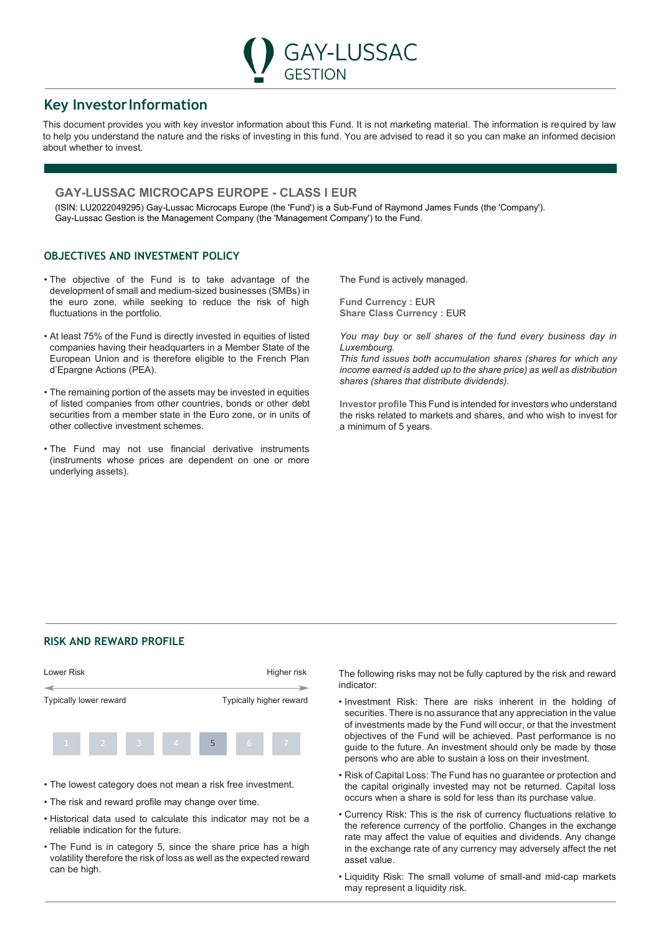# **Key InvestorInformation**

This document provides you with key investor information about this Fund. It is not marketing material. The information is required by law to help you understand the nature and the risks of investing in this fund. You are advised to read it so you can make an informed decision about whether to invest.

GESTION

**GAY-LUSSAC** 

## **GAY-LUSSAC MICROCAPS EUROPE - CLASS I EUR**

(ISIN: LU2022049295) Gay-Lussac Microcaps Europe (the 'Fund') is a Sub-Fund of Raymond James Funds (the 'Company'). Gay-Lussac Gestion is the Management Company (the 'Management Company') to the Fund.

## **OBJECTIVES AND INVESTMENT POLICY**

- The objective of the Fund is to take advantage of the development of small and medium-sized businesses (SMBs) in the euro zone, while seeking to reduce the risk of high fluctuations in the portfolio.
- At least 75% of the Fund is directly invested in equities of listed companies having their headquarters in a Member State of the European Union and is therefore eligible to the French Plan d'Epargne Actions (PEA).
- The remaining portion of the assets may be invested in equities of listed companies from other countries, bonds or other debt securities from a member state in the Euro zone, or in units of other collective investment schemes.
- The Fund may not use financial derivative instruments (instruments whose prices are dependent on one or more underlying assets).

The Fund is actively managed.

**Fund Currency : EUR Share Class Currency : EUR** 

*You may buy or sell shares of the fund every business day in Luxembourg.*

*This fund issues both accumulation shares (shares for which any income earned is added up to the share price) as well as distribution shares (shares that distribute dividends).*

**Investor profile** This Fund is intended for investors who understand the risks related to markets and shares, and who wish to invest for a minimum of 5 years.

### **RISK AND REWARD PROFILE**



- The lowest category does not mean a risk free investment.
- The risk and reward profile may change over time.
- Historical data used to calculate this indicator may not be a reliable indication for the future.
- The Fund is in category 5, since the share price has a high volatility therefore the risk of loss as well as the expected reward can be high.

The following risks may not be fully captured by the risk and reward indicator:

- Investment Risk: There are risks inherent in the holding of securities. There is no assurance that any appreciation in the value of investments made by the Fund will occur, or that the investment objectives of the Fund will be achieved. Past performance is no guide to the future. An investment should only be made by those persons who are able to sustain a loss on their investment.
- Risk of Capital Loss: The Fund has no guarantee or protection and the capital originally invested may not be returned. Capital loss occurs when a share is sold for less than its purchase value.
- Currency Risk: This is the risk of currency fluctuations relative to the reference currency of the portfolio. Changes in the exchange rate may affect the value of equities and dividends. Any change in the exchange rate of any currency may adversely affect the net asset value.
- Liquidity Risk: The small volume of small-and mid-cap markets may represent a liquidity risk.